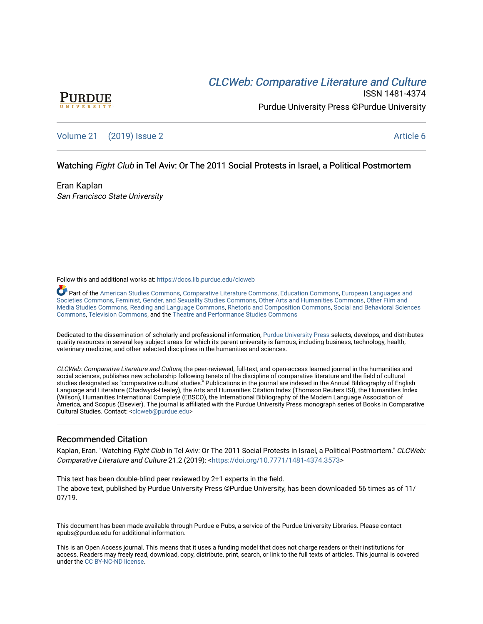# CLCW[eb: Comparative Liter](https://docs.lib.purdue.edu/clcweb)ature and Culture



ISSN 1481-4374 Purdue University Press ©Purdue University

## [Volume 21](https://docs.lib.purdue.edu/clcweb/vol21) | [\(2019\) Issue 2](https://docs.lib.purdue.edu/clcweb/vol21/iss2) Article 6

### Watching Fight Club in Tel Aviv: Or The 2011 Social Protests in Israel, a Political Postmortem

Eran Kaplan San Francisco State University

Follow this and additional works at: [https://docs.lib.purdue.edu/clcweb](https://docs.lib.purdue.edu/clcweb?utm_source=docs.lib.purdue.edu%2Fclcweb%2Fvol21%2Fiss2%2F6&utm_medium=PDF&utm_campaign=PDFCoverPages)

Part of the [American Studies Commons](http://network.bepress.com/hgg/discipline/439?utm_source=docs.lib.purdue.edu%2Fclcweb%2Fvol21%2Fiss2%2F6&utm_medium=PDF&utm_campaign=PDFCoverPages), [Comparative Literature Commons,](http://network.bepress.com/hgg/discipline/454?utm_source=docs.lib.purdue.edu%2Fclcweb%2Fvol21%2Fiss2%2F6&utm_medium=PDF&utm_campaign=PDFCoverPages) [Education Commons,](http://network.bepress.com/hgg/discipline/784?utm_source=docs.lib.purdue.edu%2Fclcweb%2Fvol21%2Fiss2%2F6&utm_medium=PDF&utm_campaign=PDFCoverPages) [European Languages and](http://network.bepress.com/hgg/discipline/482?utm_source=docs.lib.purdue.edu%2Fclcweb%2Fvol21%2Fiss2%2F6&utm_medium=PDF&utm_campaign=PDFCoverPages) [Societies Commons](http://network.bepress.com/hgg/discipline/482?utm_source=docs.lib.purdue.edu%2Fclcweb%2Fvol21%2Fiss2%2F6&utm_medium=PDF&utm_campaign=PDFCoverPages), [Feminist, Gender, and Sexuality Studies Commons,](http://network.bepress.com/hgg/discipline/559?utm_source=docs.lib.purdue.edu%2Fclcweb%2Fvol21%2Fiss2%2F6&utm_medium=PDF&utm_campaign=PDFCoverPages) [Other Arts and Humanities Commons](http://network.bepress.com/hgg/discipline/577?utm_source=docs.lib.purdue.edu%2Fclcweb%2Fvol21%2Fiss2%2F6&utm_medium=PDF&utm_campaign=PDFCoverPages), [Other Film and](http://network.bepress.com/hgg/discipline/565?utm_source=docs.lib.purdue.edu%2Fclcweb%2Fvol21%2Fiss2%2F6&utm_medium=PDF&utm_campaign=PDFCoverPages)  [Media Studies Commons](http://network.bepress.com/hgg/discipline/565?utm_source=docs.lib.purdue.edu%2Fclcweb%2Fvol21%2Fiss2%2F6&utm_medium=PDF&utm_campaign=PDFCoverPages), [Reading and Language Commons](http://network.bepress.com/hgg/discipline/1037?utm_source=docs.lib.purdue.edu%2Fclcweb%2Fvol21%2Fiss2%2F6&utm_medium=PDF&utm_campaign=PDFCoverPages), [Rhetoric and Composition Commons,](http://network.bepress.com/hgg/discipline/573?utm_source=docs.lib.purdue.edu%2Fclcweb%2Fvol21%2Fiss2%2F6&utm_medium=PDF&utm_campaign=PDFCoverPages) [Social and Behavioral Sciences](http://network.bepress.com/hgg/discipline/316?utm_source=docs.lib.purdue.edu%2Fclcweb%2Fvol21%2Fiss2%2F6&utm_medium=PDF&utm_campaign=PDFCoverPages) [Commons,](http://network.bepress.com/hgg/discipline/316?utm_source=docs.lib.purdue.edu%2Fclcweb%2Fvol21%2Fiss2%2F6&utm_medium=PDF&utm_campaign=PDFCoverPages) [Television Commons,](http://network.bepress.com/hgg/discipline/1143?utm_source=docs.lib.purdue.edu%2Fclcweb%2Fvol21%2Fiss2%2F6&utm_medium=PDF&utm_campaign=PDFCoverPages) and the [Theatre and Performance Studies Commons](http://network.bepress.com/hgg/discipline/552?utm_source=docs.lib.purdue.edu%2Fclcweb%2Fvol21%2Fiss2%2F6&utm_medium=PDF&utm_campaign=PDFCoverPages)

Dedicated to the dissemination of scholarly and professional information, [Purdue University Press](http://www.thepress.purdue.edu/) selects, develops, and distributes quality resources in several key subject areas for which its parent university is famous, including business, technology, health, veterinary medicine, and other selected disciplines in the humanities and sciences.

CLCWeb: Comparative Literature and Culture, the peer-reviewed, full-text, and open-access learned journal in the humanities and social sciences, publishes new scholarship following tenets of the discipline of comparative literature and the field of cultural studies designated as "comparative cultural studies." Publications in the journal are indexed in the Annual Bibliography of English Language and Literature (Chadwyck-Healey), the Arts and Humanities Citation Index (Thomson Reuters ISI), the Humanities Index (Wilson), Humanities International Complete (EBSCO), the International Bibliography of the Modern Language Association of America, and Scopus (Elsevier). The journal is affiliated with the Purdue University Press monograph series of Books in Comparative Cultural Studies. Contact: [<clcweb@purdue.edu](mailto:clcweb@purdue.edu)>

### Recommended Citation

Kaplan, Eran. "Watching Fight Club in Tel Aviv: Or The 2011 Social Protests in Israel, a Political Postmortem." CLCWeb: Comparative Literature and Culture 21.2 (2019): <<https://doi.org/10.7771/1481-4374.3573>>

This text has been double-blind peer reviewed by 2+1 experts in the field. The above text, published by Purdue University Press ©Purdue University, has been downloaded 56 times as of 11/ 07/19.

This document has been made available through Purdue e-Pubs, a service of the Purdue University Libraries. Please contact epubs@purdue.edu for additional information.

This is an Open Access journal. This means that it uses a funding model that does not charge readers or their institutions for access. Readers may freely read, download, copy, distribute, print, search, or link to the full texts of articles. This journal is covered under the [CC BY-NC-ND license.](https://creativecommons.org/licenses/by-nc-nd/4.0/)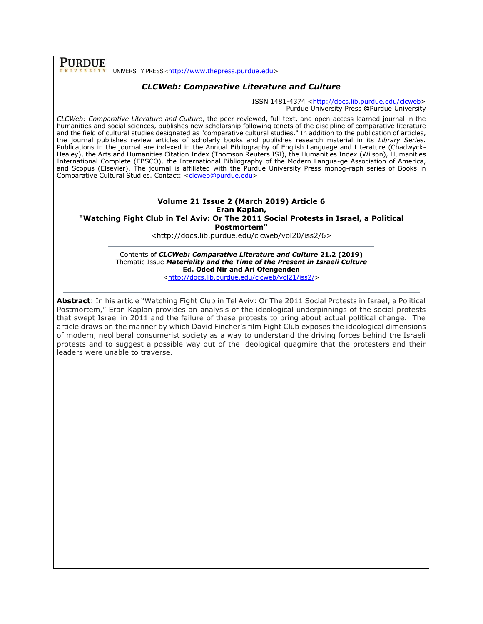**PURDUE** UNIVERSITY PRESS <[http://www.thepress.purdue.edu>](http://www.thepress.purdue.edu/)

### *CLCWeb: Comparative Literature and Culture*

ISSN 1481-4374 [<http://docs.lib.purdue.edu/clcweb>](http://docs.lib.purdue.edu/clcweb) Purdue University Press **©**Purdue University

*CLCWeb: Comparative Literature and Culture*, the peer-reviewed, full-text, and open-access learned journal in the humanities and social sciences, publishes new scholarship following tenets of the discipline of comparative literature and the field of cultural studies designated as "comparative cultural studies." In addition to the publication of articles, the journal publishes review articles of scholarly books and publishes research material in its *Library Series.*  Publications in the journal are indexed in the Annual Bibliography of English Language and Literature (Chadwyck-Healey), the Arts and Humanities Citation Index (Thomson Reuters ISI), the Humanities Index (Wilson), Humanities International Complete (EBSCO), the International Bibliography of the Modern Langua-ge Association of America, and Scopus (Elsevier). The journal is affiliated with the Purdue University Press monog-raph series of Books in Comparative Cultural Studies. Contact: [<clcweb@purdue.edu>](mailto:clcweb@purdue.edu)

#### **Volume 21 Issue 2 (March 2019) Article 6 Eran Kaplan, "Watching Fight Club in Tel Aviv: Or The 2011 Social Protests in Israel, a Political**

**Postmortem"**

<http://docs.lib.purdue.edu/clcweb/vol20/iss2/6>

Contents of *CLCWeb: Comparative Literature and Culture* **21.2 (2019)** Thematic Issue *Materiality and the Time of the Present in Israeli Culture* **Ed. Oded Nir and Ari Ofengenden** [<http://docs.lib.purdue.edu/clcweb/vol21/iss2/>](http://docs.lib.purdue.edu/clcweb/vol21/iss2/)

**Abstract**: In his article "Watching Fight Club in Tel Aviv: Or The 2011 Social Protests in Israel, a Political Postmortem," Eran Kaplan provides an analysis of the ideological underpinnings of the social protests that swept Israel in 2011 and the failure of these protests to bring about actual political change. The article draws on the manner by which David Fincher's film Fight Club exposes the ideological dimensions of modern, neoliberal consumerist society as a way to understand the driving forces behind the Israeli protests and to suggest a possible way out of the ideological quagmire that the protesters and their leaders were unable to traverse.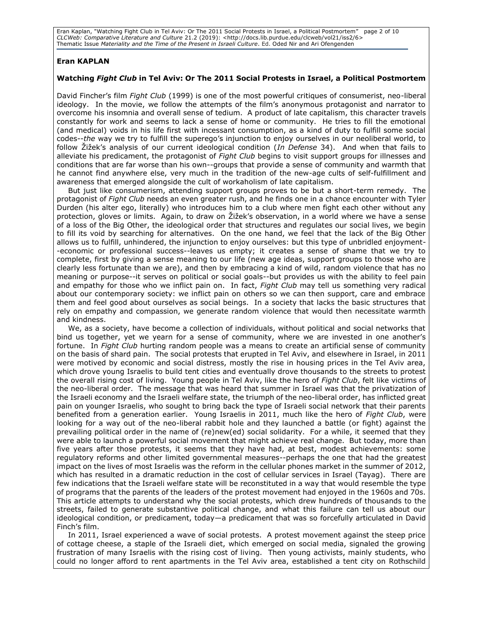Eran Kaplan, "Watching Fight Club in Tel Aviv: Or The 2011 Social Protests in Israel, a Political Postmortem" page 2 of 10 *CLCWeb: Comparative Literature and Culture* 21.2 (2019): <http://docs.lib.purdue.edu/clcweb/vol21/iss2/6> Thematic Issue *Materiality and the Time of the Present in Israeli Culture*. Ed. Oded Nir and Ari Ofengenden

#### **Eran KAPLAN**

#### **Watching** *Fight Club* **in Tel Aviv: Or The 2011 Social Protests in Israel, a Political Postmortem**

David Fincher's film *Fight Club* (1999) is one of the most powerful critiques of consumerist, neo-liberal ideology. In the movie, we follow the attempts of the film's anonymous protagonist and narrator to overcome his insomnia and overall sense of tedium. A product of late capitalism, this character travels constantly for work and seems to lack a sense of home or community. He tries to fill the emotional (and medical) voids in his life first with incessant consumption, as a kind of duty to fulfill some social codes--*the* way we try to fulfill the superego's injunction to enjoy ourselves in our neoliberal world, to follow Žižek's analysis of our current ideological condition (*In Defense* 34). And when that fails to alleviate his predicament, the protagonist of *Fight Club* begins to visit support groups for illnesses and conditions that are far worse than his own--groups that provide a sense of community and warmth that he cannot find anywhere else, very much in the tradition of the new-age cults of self-fulfillment and awareness that emerged alongside the cult of workaholism of late capitalism.

But just like consumerism, attending support groups proves to be but a short-term remedy. The protagonist of *Fight Club* needs an even greater rush, and he finds one in a chance encounter with Tyler Durden (his alter ego, literally) who introduces him to a club where men fight each other without any protection, gloves or limits. Again, to draw on Žižek's observation, in a world where we have a sense of a loss of the Big Other, the ideological order that structures and regulates our social lives, we begin to fill its void by searching for alternatives. On the one hand, we feel that the lack of the Big Other allows us to fulfill, unhindered, the injunction to enjoy ourselves: but this type of unbridled enjoyment- -economic or professional success--leaves us empty; it creates a sense of shame that we try to complete, first by giving a sense meaning to our life (new age ideas, support groups to those who are clearly less fortunate than we are), and then by embracing a kind of wild, random violence that has no meaning or purpose--it serves on political or social goals--but provides us with the ability to feel pain and empathy for those who we inflict pain on. In fact, *Fight Club* may tell us something very radical about our contemporary society: we inflict pain on others so we can then support, care and embrace them and feel good about ourselves as social beings. In a society that lacks the basic structures that rely on empathy and compassion, we generate random violence that would then necessitate warmth and kindness.

We, as a society, have become a collection of individuals, without political and social networks that bind us together, yet we yearn for a sense of community, where we are invested in one another's fortune. In *Fight Club* hurting random people was a means to create an artificial sense of community on the basis of shard pain. The social protests that erupted in Tel Aviv, and elsewhere in Israel, in 2011 were motived by economic and social distress, mostly the rise in housing prices in the Tel Aviv area, which drove young Israelis to build tent cities and eventually drove thousands to the streets to protest the overall rising cost of living. Young people in Tel Aviv, like the hero of *Fight Club*, felt like victims of the neo-liberal order. The message that was heard that summer in Israel was that the privatization of the Israeli economy and the Israeli welfare state, the triumph of the neo-liberal order, has inflicted great pain on younger Israelis, who sought to bring back the type of Israeli social network that their parents benefited from a generation earlier. Young Israelis in 2011, much like the hero of *Fight Club*, were looking for a way out of the neo-liberal rabbit hole and they launched a battle (or fight) against the prevailing political order in the name of (re)new(ed) social solidarity. For a while, it seemed that they were able to launch a powerful social movement that might achieve real change. But today, more than five years after those protests, it seems that they have had, at best, modest achievements: some regulatory reforms and other limited governmental measures--perhaps the one that had the greatest impact on the lives of most Israelis was the reform in the cellular phones market in the summer of 2012, which has resulted in a dramatic reduction in the cost of cellular services in Israel (Tayag). There are few indications that the Israeli welfare state will be reconstituted in a way that would resemble the type of programs that the parents of the leaders of the protest movement had enjoyed in the 1960s and 70s. This article attempts to understand why the social protests, which drew hundreds of thousands to the streets, failed to generate substantive political change, and what this failure can tell us about our ideological condition, or predicament, today—a predicament that was so forcefully articulated in David Finch's film.

In 2011, Israel experienced a wave of social protests. A protest movement against the steep price of cottage cheese, a staple of the Israeli diet, which emerged on social media, signaled the growing frustration of many Israelis with the rising cost of living. Then young activists, mainly students, who could no longer afford to rent apartments in the Tel Aviv area, established a tent city on Rothschild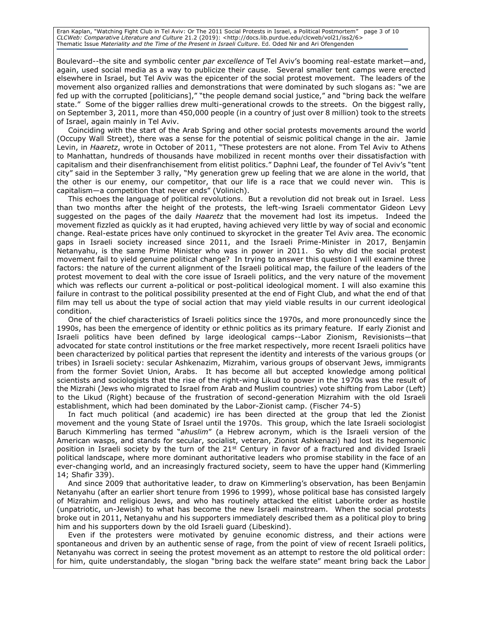Eran Kaplan, "Watching Fight Club in Tel Aviv: Or The 2011 Social Protests in Israel, a Political Postmortem" page 3 of 10 *CLCWeb: Comparative Literature and Culture* 21.2 (2019): <http://docs.lib.purdue.edu/clcweb/vol21/iss2/6> Thematic Issue *Materiality and the Time of the Present in Israeli Culture*. Ed. Oded Nir and Ari Ofengenden

Boulevard--the site and symbolic center *par excellence* of Tel Aviv's booming real-estate market—and, again, used social media as a way to publicize their cause. Several smaller tent camps were erected elsewhere in Israel, but Tel Aviv was the epicenter of the social protest movement. The leaders of the movement also organized rallies and demonstrations that were dominated by such slogans as: "we are fed up with the corrupted [politicians]," "the people demand social justice," and "bring back the welfare state." Some of the bigger rallies drew multi-generational crowds to the streets. On the biggest rally, on September 3, 2011, more than 450,000 people (in a country of just over 8 million) took to the streets of Israel, again mainly in Tel Aviv.

Coinciding with the start of the Arab Spring and other social protests movements around the world (Occupy Wall Street), there was a sense for the potential of seismic political change in the air. Jamie Levin, in *Haaretz*, wrote in October of 2011, "These protesters are not alone. From Tel Aviv to Athens to Manhattan, hundreds of thousands have mobilized in recent months over their dissatisfaction with capitalism and their disenfranchisement from elitist politics." Daphni Leaf, the founder of Tel Aviv's "tent city" said in the September 3 rally, "My generation grew up feeling that we are alone in the world, that the other is our enemy, our competitor, that our life is a race that we could never win. This is capitalism—a competition that never ends" (Volinich).

This echoes the language of political revolutions. But a revolution did not break out in Israel. Less than two months after the height of the protests, the left-wing Israeli commentator Gideon Levy suggested on the pages of the daily *Haaretz* that the movement had lost its impetus. Indeed the movement fizzled as quickly as it had erupted, having achieved very little by way of social and economic change. Real-estate prices have only continued to skyrocket in the greater Tel Aviv area. The economic gaps in Israeli society increased since 2011, and the Israeli Prime-Minister in 2017, Benjamin Netanyahu, is the same Prime Minister who was in power in 2011. So why did the social protest movement fail to yield genuine political change? In trying to answer this question I will examine three factors: the nature of the current alignment of the Israeli political map, the failure of the leaders of the protest movement to deal with the core issue of Israeli politics, and the very nature of the movement which was reflects our current a-political or post-political ideological moment. I will also examine this failure in contrast to the political possibility presented at the end of Fight Club, and what the end of that film may tell us about the type of social action that may yield viable results in our current ideological condition.

One of the chief characteristics of Israeli politics since the 1970s, and more pronouncedly since the 1990s, has been the emergence of identity or ethnic politics as its primary feature. If early Zionist and Israeli politics have been defined by large ideological camps--Labor Zionism, Revisionists—that advocated for state control institutions or the free market respectively, more recent Israeli politics have been characterized by political parties that represent the identity and interests of the various groups (or tribes) in Israeli society: secular Ashkenazim, Mizrahim, various groups of observant Jews, immigrants from the former Soviet Union, Arabs. It has become all but accepted knowledge among political scientists and sociologists that the rise of the right-wing Likud to power in the 1970s was the result of the Mizrahi (Jews who migrated to Israel from Arab and Muslim countries) vote shifting from Labor (Left) to the Likud (Right) because of the frustration of second-generation Mizrahim with the old Israeli establishment, which had been dominated by the Labor-Zionist camp. (Fischer 74-5)

In fact much political (and academic) ire has been directed at the group that led the Zionist movement and the young State of Israel until the 1970s. This group, which the late Israeli sociologist Baruch Kimmerling has termed "*ahuslim*" (a Hebrew acronym, which is the Israeli version of the American wasps, and stands for secular, socialist, veteran, Zionist Ashkenazi) had lost its hegemonic position in Israeli society by the turn of the  $21<sup>st</sup>$  Century in favor of a fractured and divided Israeli political landscape, where more dominant authoritative leaders who promise stability in the face of an ever-changing world, and an increasingly fractured society, seem to have the upper hand (Kimmerling 14; Shafir 339).

And since 2009 that authoritative leader, to draw on Kimmerling's observation, has been Benjamin Netanyahu (after an earlier short tenure from 1996 to 1999), whose political base has consisted largely of Mizrahim and religious Jews, and who has routinely attacked the elitist Laborite order as hostile (unpatriotic, un-Jewish) to what has become the new Israeli mainstream. When the social protests broke out in 2011, Netanyahu and his supporters immediately described them as a political ploy to bring him and his supporters down by the old Israeli guard (Libeskind).

Even if the protesters were motivated by genuine economic distress, and their actions were spontaneous and driven by an authentic sense of rage, from the point of view of recent Israeli politics, Netanyahu was correct in seeing the protest movement as an attempt to restore the old political order: for him, quite understandably, the slogan "bring back the welfare state" meant bring back the Labor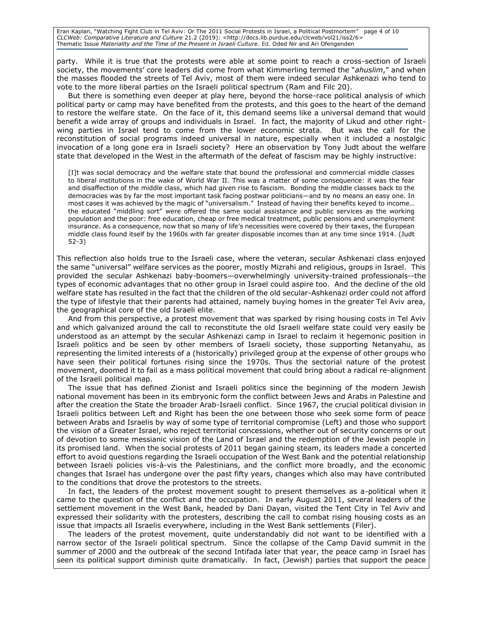Eran Kaplan, "Watching Fight Club in Tel Aviv: Or The 2011 Social Protests in Israel, a Political Postmortem" page 4 of 10 *CLCWeb: Comparative Literature and Culture* 21.2 (2019): <http://docs.lib.purdue.edu/clcweb/vol21/iss2/6> Thematic Issue *Materiality and the Time of the Present in Israeli Culture*. Ed. Oded Nir and Ari Ofengenden

party. While it is true that the protests were able at some point to reach a cross-section of Israeli society, the movements' core leaders did come from what Kimmerling termed the "*ahuslim*," and when the masses flooded the streets of Tel Aviv, most of them were indeed secular Ashkenazi who tend to vote to the more liberal parties on the Israeli political spectrum (Ram and Filc 20).

But there is something even deeper at play here, beyond the horse-race political analysis of which political party or camp may have benefited from the protests, and this goes to the heart of the demand to restore the welfare state. On the face of it, this demand seems like a universal demand that would benefit a wide array of groups and individuals in Israel. In fact, the majority of Likud and other rightwing parties in Israel tend to come from the lower economic strata. But was the call for the reconstitution of social programs indeed universal in nature, especially when it included a nostalgic invocation of a long gone era in Israeli society? Here an observation by Tony Judt about the welfare state that developed in the West in the aftermath of the defeat of fascism may be highly instructive:

[I]t was social democracy and the welfare state that bound the professional and commercial middle classes to liberal institutions in the wake of World War II. This was a matter of some consequence: it was the fear and disaffection of the middle class, which had given rise to fascism. Bonding the middle classes back to the democracies was by far the most important task facing postwar politicians—and by no means an easy one. In most cases it was achieved by the magic of "universalism." Instead of having their benefits keyed to income… the educated "middling sort" were offered the same social assistance and public services as the working population and the poor: free education, cheap or free medical treatment, public pensions and unemployment insurance. As a consequence, now that so many of life's necessities were covered by their taxes, the European middle class found itself by the 1960s with far greater disposable incomes than at any time since 1914. (Judt 52-3)

This reflection also holds true to the Israeli case, where the veteran, secular Ashkenazi class enjoyed the same "universal" welfare services as the poorer, mostly Mizrahi and religious, groups in Israel. This provided the secular Ashkenazi baby-boomers—overwhelmingly university-trained professionals--the types of economic advantages that no other group in Israel could aspire too. And the decline of the old welfare state has resulted in the fact that the children of the old secular-Ashkenazi order could not afford the type of lifestyle that their parents had attained, namely buying homes in the greater Tel Aviv area, the geographical core of the old Israeli elite.

And from this perspective, a protest movement that was sparked by rising housing costs in Tel Aviv and which galvanized around the call to reconstitute the old Israeli welfare state could very easily be understood as an attempt by the secular Ashkenazi camp in Israel to reclaim it hegemonic position in Israeli politics and be seen by other members of Israeli society, those supporting Netanyahu, as representing the limited interests of a (historically) privileged group at the expense of other groups who have seen their political fortunes rising since the 1970s. Thus the sectorial nature of the protest movement, doomed it to fail as a mass political movement that could bring about a radical re-alignment of the Israeli political map.

The issue that has defined Zionist and Israeli politics since the beginning of the modern Jewish national movement has been in its embryonic form the conflict between Jews and Arabs in Palestine and after the creation the State the broader Arab-Israeli conflict. Since 1967, the crucial political division in Israeli politics between Left and Right has been the one between those who seek some form of peace between Arabs and Israelis by way of some type of territorial compromise (Left) and those who support the vision of a Greater Israel, who reject territorial concessions, whether out of security concerns or out of devotion to some messianic vision of the Land of Israel and the redemption of the Jewish people in its promised land. When the social protests of 2011 began gaining steam, its leaders made a concerted effort to avoid questions regarding the Israeli occupation of the West Bank and the potential relationship between Israeli policies vis-à-vis the Palestinians, and the conflict more broadly, and the economic changes that Israel has undergone over the past fifty years, changes which also may have contributed to the conditions that drove the protestors to the streets.

In fact, the leaders of the protest movement sought to present themselves as a-political when it came to the question of the conflict and the occupation. In early August 2011, several leaders of the settlement movement in the West Bank, headed by Dani Dayan, visited the Tent City in Tel Aviv and expressed their solidarity with the protesters, describing the call to combat rising housing costs as an issue that impacts all Israelis everywhere, including in the West Bank settlements (Filer).

The leaders of the protest movement, quite understandably did not want to be identified with a narrow sector of the Israeli political spectrum. Since the collapse of the Camp David summit in the summer of 2000 and the outbreak of the second Intifada later that year, the peace camp in Israel has seen its political support diminish quite dramatically. In fact, (Jewish) parties that support the peace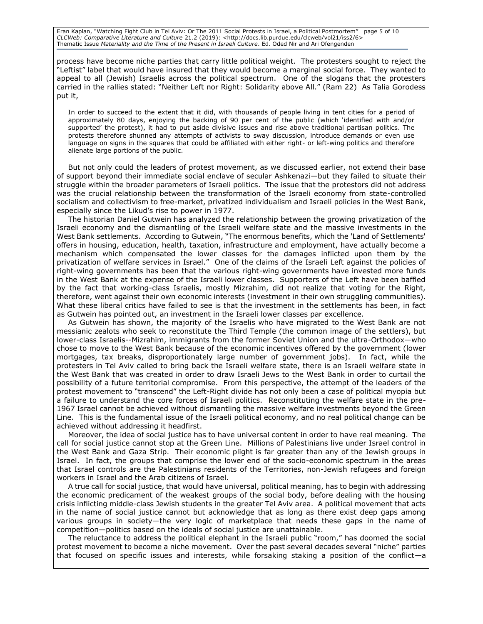Eran Kaplan, "Watching Fight Club in Tel Aviv: Or The 2011 Social Protests in Israel, a Political Postmortem" page 5 of 10 *CLCWeb: Comparative Literature and Culture* 21.2 (2019): <http://docs.lib.purdue.edu/clcweb/vol21/iss2/6> Thematic Issue *Materiality and the Time of the Present in Israeli Culture*. Ed. Oded Nir and Ari Ofengenden

process have become niche parties that carry little political weight. The protesters sought to reject the "Leftist" label that would have insured that they would become a marginal social force. They wanted to appeal to all (Jewish) Israelis across the political spectrum. One of the slogans that the protesters carried in the rallies stated: "Neither Left nor Right: Solidarity above All." (Ram 22) As Talia Gorodess put it,

In order to succeed to the extent that it did, with thousands of people living in tent cities for a period of approximately 80 days, enjoying the backing of 90 per cent of the public (which 'identified with and/or supported' the protest), it had to put aside divisive issues and rise above traditional partisan politics. The protests therefore shunned any attempts of activists to sway discussion, introduce demands or even use language on signs in the squares that could be affiliated with either right- or left-wing politics and therefore alienate large portions of the public.

But not only could the leaders of protest movement, as we discussed earlier, not extend their base of support beyond their immediate social enclave of secular Ashkenazi—but they failed to situate their struggle within the broader parameters of Israeli politics. The issue that the protestors did not address was the crucial relationship between the transformation of the Israeli economy from state-controlled socialism and collectivism to free-market, privatized individualism and Israeli policies in the West Bank, especially since the Likud's rise to power in 1977.

The historian Daniel Gutwein has analyzed the relationship between the growing privatization of the Israeli economy and the dismantling of the Israeli welfare state and the massive investments in the West Bank settlements. According to Gutwein, "The enormous benefits, which the 'Land of Settlements' offers in housing, education, health, taxation, infrastructure and employment, have actually become a mechanism which compensated the lower classes for the damages inflicted upon them by the privatization of welfare services in Israel." One of the claims of the Israeli Left against the policies of right-wing governments has been that the various right-wing governments have invested more funds in the West Bank at the expense of the Israeli lower classes. Supporters of the Left have been baffled by the fact that working-class Israelis, mostly Mizrahim, did not realize that voting for the Right, therefore, went against their own economic interests (investment in their own struggling communities). What these liberal critics have failed to see is that the investment in the settlements has been, in fact as Gutwein has pointed out, an investment in the Israeli lower classes par excellence.

As Gutwein has shown, the majority of the Israelis who have migrated to the West Bank are not messianic zealots who seek to reconstitute the Third Temple (the common image of the settlers), but lower-class Israelis--Mizrahim, immigrants from the former Soviet Union and the ultra-Orthodox—who chose to move to the West Bank because of the economic incentives offered by the government (lower mortgages, tax breaks, disproportionately large number of government jobs). In fact, while the protesters in Tel Aviv called to bring back the Israeli welfare state, there is an Israeli welfare state in the West Bank that was created in order to draw Israeli Jews to the West Bank in order to curtail the possibility of a future territorial compromise. From this perspective, the attempt of the leaders of the protest movement to "transcend" the Left-Right divide has not only been a case of political myopia but a failure to understand the core forces of Israeli politics. Reconstituting the welfare state in the pre-1967 Israel cannot be achieved without dismantling the massive welfare investments beyond the Green Line. This is the fundamental issue of the Israeli political economy, and no real political change can be achieved without addressing it headfirst.

Moreover, the idea of social justice has to have universal content in order to have real meaning. The call for social justice cannot stop at the Green Line. Millions of Palestinians live under Israel control in the West Bank and Gaza Strip. Their economic plight is far greater than any of the Jewish groups in Israel. In fact, the groups that comprise the lower end of the socio-economic spectrum in the areas that Israel controls are the Palestinians residents of the Territories, non-Jewish refugees and foreign workers in Israel and the Arab citizens of Israel.

A true call for social justice, that would have universal, political meaning, has to begin with addressing the economic predicament of the weakest groups of the social body, before dealing with the housing crisis inflicting middle-class Jewish students in the greater Tel Aviv area. A political movement that acts in the name of social justice cannot but acknowledge that as long as there exist deep gaps among various groups in society—the very logic of marketplace that needs these gaps in the name of competition—politics based on the ideals of social justice are unattainable.

The reluctance to address the political elephant in the Israeli public "room," has doomed the social protest movement to become a niche movement. Over the past several decades several "niche" parties that focused on specific issues and interests, while forsaking staking a position of the conflict—a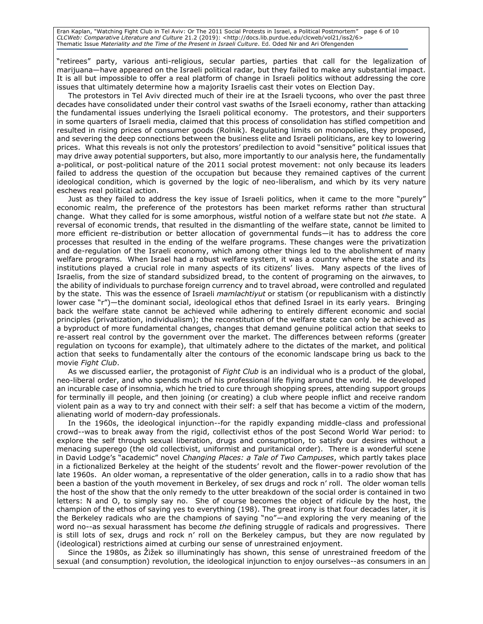Eran Kaplan, "Watching Fight Club in Tel Aviv: Or The 2011 Social Protests in Israel, a Political Postmortem" page 6 of 10 *CLCWeb: Comparative Literature and Culture* 21.2 (2019): <http://docs.lib.purdue.edu/clcweb/vol21/iss2/6> Thematic Issue *Materiality and the Time of the Present in Israeli Culture*. Ed. Oded Nir and Ari Ofengenden

"retirees" party, various anti-religious, secular parties, parties that call for the legalization of marijuana—have appeared on the Israeli political radar, but they failed to make any substantial impact. It is all but impossible to offer a real platform of change in Israeli politics without addressing the core issues that ultimately determine how a majority Israelis cast their votes on Election Day.

The protestors in Tel Aviv directed much of their ire at the Israeli tycoons, who over the past three decades have consolidated under their control vast swaths of the Israeli economy, rather than attacking the fundamental issues underlying the Israeli political economy. The protestors, and their supporters in some quarters of Israeli media, claimed that this process of consolidation has stifled competition and resulted in rising prices of consumer goods (Rolnik). Regulating limits on monopolies, they proposed, and severing the deep connections between the business elite and Israeli politicians, are key to lowering prices. What this reveals is not only the protestors' predilection to avoid "sensitive" political issues that may drive away potential supporters, but also, more importantly to our analysis here, the fundamentally a-political, or post-political nature of the 2011 social protest movement: not only because its leaders failed to address the question of the occupation but because they remained captives of the current ideological condition, which is governed by the logic of neo-liberalism, and which by its very nature eschews real political action.

Just as they failed to address the key issue of Israeli politics, when it came to the more "purely" economic realm, the preference of the protestors has been market reforms rather than structural change. What they called for is some amorphous, wistful notion of a welfare state but not *the* state. A reversal of economic trends, that resulted in the dismantling of the welfare state, cannot be limited to more efficient re-distribution or better allocation of governmental funds—it has to address the core processes that resulted in the ending of the welfare programs. These changes were the privatization and de-regulation of the Israeli economy, which among other things led to the abolishment of many welfare programs. When Israel had a robust welfare system, it was a country where the state and its institutions played a crucial role in many aspects of its citizens' lives. Many aspects of the lives of Israelis, from the size of standard subsidized bread, to the content of programing on the airwaves, to the ability of individuals to purchase foreign currency and to travel abroad, were controlled and regulated by the state. This was the essence of Israeli *mamlachtiyut* or statism (or republicanism with a distinctly lower case "r")—the dominant social, ideological ethos that defined Israel in its early years. Bringing back the welfare state cannot be achieved while adhering to entirely different economic and social principles (privatization, individualism); the reconstitution of the welfare state can only be achieved as a byproduct of more fundamental changes, changes that demand genuine political action that seeks to re-assert real control by the government over the market. The differences between reforms (greater regulation on tycoons for example), that ultimately adhere to the dictates of the market, and political action that seeks to fundamentally alter the contours of the economic landscape bring us back to the movie *Fight Club*.

As we discussed earlier, the protagonist of *Fight Club* is an individual who is a product of the global, neo-liberal order, and who spends much of his professional life flying around the world. He developed an incurable case of insomnia, which he tried to cure through shopping sprees, attending support groups for terminally ill people, and then joining (or creating) a club where people inflict and receive random violent pain as a way to try and connect with their self: a self that has become a victim of the modern, alienating world of modern-day professionals.

In the 1960s, the ideological injunction--for the rapidly expanding middle-class and professional crowd--was to break away from the rigid, collectivist ethos of the post Second World War period: to explore the self through sexual liberation, drugs and consumption, to satisfy our desires without a menacing superego (the old collectivist, uniformist and puritanical order). There is a wonderful scene in David Lodge's "academic" novel *Changing Places: a Tale of Two Campuses*, which partly takes place in a fictionalized Berkeley at the height of the students' revolt and the flower-power revolution of the late 1960s. An older woman, a representative of the older generation, calls in to a radio show that has been a bastion of the youth movement in Berkeley, of sex drugs and rock n' roll. The older woman tells the host of the show that the only remedy to the utter breakdown of the social order is contained in two letters: N and O, to simply say no. She of course becomes the object of ridicule by the host, the champion of the ethos of saying yes to everything (198). The great irony is that four decades later, it is the Berkeley radicals who are the champions of saying "no"—and exploring the very meaning of the word no--as sexual harassment has become *the* defining struggle of radicals and progressives. There is still lots of sex, drugs and rock n' roll on the Berkeley campus, but they are now regulated by (ideological) restrictions aimed at curbing our sense of unrestrained enjoyment.

Since the 1980s, as Žižek so illuminatingly has shown, this sense of unrestrained freedom of the sexual (and consumption) revolution, the ideological injunction to enjoy ourselves--as consumers in an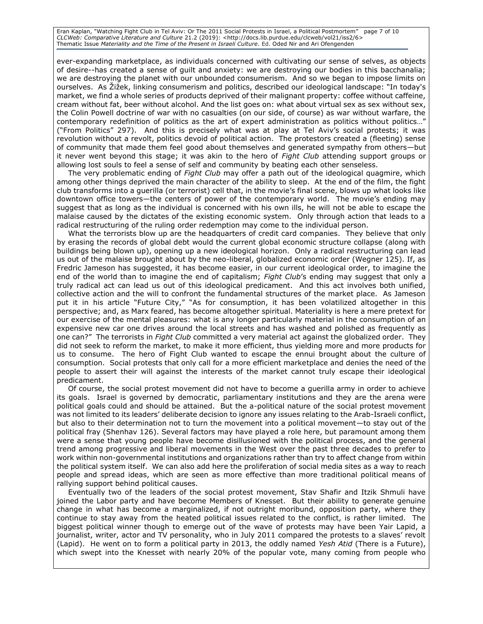Eran Kaplan, "Watching Fight Club in Tel Aviv: Or The 2011 Social Protests in Israel, a Political Postmortem" page 7 of 10 *CLCWeb: Comparative Literature and Culture* 21.2 (2019): <http://docs.lib.purdue.edu/clcweb/vol21/iss2/6> Thematic Issue *Materiality and the Time of the Present in Israeli Culture*. Ed. Oded Nir and Ari Ofengenden

ever-expanding marketplace, as individuals concerned with cultivating our sense of selves, as objects of desire--has created a sense of guilt and anxiety: we are destroying our bodies in this bacchanalia; we are destroying the planet with our unbounded consumerism. And so we began to impose limits on ourselves. As Žižek, linking consumerism and politics, described our ideological landscape: "In today's market, we find a whole series of products deprived of their malignant property: coffee without caffeine, cream without fat, beer without alcohol. And the list goes on: what about virtual sex as sex without sex, the Colin Powell doctrine of war with no casualties (on our side, of course) as war without warfare, the contemporary redefinition of politics as the art of expert administration as politics without politics…" ("From Politics" 297). And this is precisely what was at play at Tel Aviv's social protests; it was revolution without a revolt, politics devoid of political action. The protestors created a (fleeting) sense of community that made them feel good about themselves and generated sympathy from others—but it never went beyond this stage; it was akin to the hero of *Fight Club* attending support groups or allowing lost souls to feel a sense of self and community by beating each other senseless.

The very problematic ending of *Fight Club* may offer a path out of the ideological quagmire, which among other things deprived the main character of the ability to sleep. At the end of the film, the fight club transforms into a guerilla (or terrorist) cell that, in the movie's final scene, blows up what looks like downtown office towers—the centers of power of the contemporary world. The movie's ending may suggest that as long as the individual is concerned with his own ills, he will not be able to escape the malaise caused by the dictates of the existing economic system. Only through action that leads to a radical restructuring of the ruling order redemption may come to the individual person.

What the terrorists blow up are the headquarters of credit card companies. They believe that only by erasing the records of global debt would the current global economic structure collapse (along with buildings being blown up), opening up a new ideological horizon. Only a radical restructuring can lead us out of the malaise brought about by the neo-liberal, globalized economic order (Wegner 125). If, as Fredric Jameson has suggested, it has become easier, in our current ideological order, to imagine the end of the world than to imagine the end of capitalism; *Fight Club*'s ending may suggest that only a truly radical act can lead us out of this ideological predicament. And this act involves both unified, collective action and the will to confront the fundamental structures of the market place. As Jameson put it in his article "Future City," "As for consumption, it has been volatilized altogether in this perspective; and, as Marx feared, has become altogether spiritual. Materiality is here a mere pretext for our exercise of the mental pleasures: what is any longer particularly material in the consumption of an expensive new car one drives around the local streets and has washed and polished as frequently as one can?" The terrorists in *Fight Club* committed a very material act against the globalized order. They did not seek to reform the market, to make it more efficient, thus yielding more and more products for us to consume. The hero of Fight Club wanted to escape the ennui brought about the culture of consumption. Social protests that only call for a more efficient marketplace and denies the need of the people to assert their will against the interests of the market cannot truly escape their ideological predicament.

Of course, the social protest movement did not have to become a guerilla army in order to achieve its goals. Israel is governed by democratic, parliamentary institutions and they are the arena were political goals could and should be attained. But the a-political nature of the social protest movement was not limited to its leaders' deliberate decision to ignore any issues relating to the Arab-Israeli conflict, but also to their determination not to turn the movement into a political movement—to stay out of the political fray (Shenhav 126). Several factors may have played a role here, but paramount among them were a sense that young people have become disillusioned with the political process, and the general trend among progressive and liberal movements in the West over the past three decades to prefer to work within non-governmental institutions and organizations rather than try to affect change from within the political system itself. We can also add here the proliferation of social media sites as a way to reach people and spread ideas, which are seen as more effective than more traditional political means of rallying support behind political causes.

Eventually two of the leaders of the social protest movement, Stav Shafir and Itzik Shmuli have joined the Labor party and have become Members of Knesset. But their ability to generate genuine change in what has become a marginalized, if not outright moribund, opposition party, where they continue to stay away from the heated political issues related to the conflict, is rather limited. The biggest political winner though to emerge out of the wave of protests may have been Yair Lapid, a journalist, writer, actor and TV personality, who in July 2011 compared the protests to a slaves' revolt (Lapid). He went on to form a political party in 2013, the oddly named *Yesh Atid* (There is a Future), which swept into the Knesset with nearly 20% of the popular vote, many coming from people who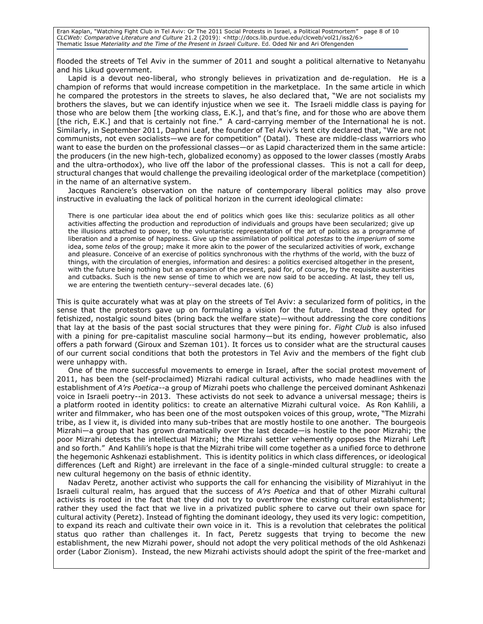Eran Kaplan, "Watching Fight Club in Tel Aviv: Or The 2011 Social Protests in Israel, a Political Postmortem" page 8 of 10 *CLCWeb: Comparative Literature and Culture* 21.2 (2019): <http://docs.lib.purdue.edu/clcweb/vol21/iss2/6> Thematic Issue *Materiality and the Time of the Present in Israeli Culture*. Ed. Oded Nir and Ari Ofengenden

flooded the streets of Tel Aviv in the summer of 2011 and sought a political alternative to Netanyahu and his Likud government.

Lapid is a devout neo-liberal, who strongly believes in privatization and de-regulation. He is a champion of reforms that would increase competition in the marketplace. In the same article in which he compared the protestors in the streets to slaves, he also declared that, "We are not socialists my brothers the slaves, but we can identify injustice when we see it. The Israeli middle class is paying for those who are below them [the working class, E.K.], and that's fine, and for those who are above them [the rich, E.K.] and that is certainly not fine." A card-carrying member of the International he is not. Similarly, in September 2011, Daphni Leaf, the founder of Tel Aviv's tent city declared that, "We are not communists, not even socialists—we are for competition" (Datal). These are middle-class warriors who want to ease the burden on the professional classes—or as Lapid characterized them in the same article: the producers (in the new high-tech, globalized economy) as opposed to the lower classes (mostly Arabs and the ultra-orthodox), who live off the labor of the professional classes. This is not a call for deep, structural changes that would challenge the prevailing ideological order of the marketplace (competition) in the name of an alternative system.

Jacques Ranciere's observation on the nature of contemporary liberal politics may also prove instructive in evaluating the lack of political horizon in the current ideological climate:

There is one particular idea about the end of politics which goes like this: secularize politics as all other activities affecting the production and reproduction of individuals and groups have been secularized; give up the illusions attached to power, to the voluntaristic representation of the art of politics as a programme of liberation and a promise of happiness. Give up the assimilation of political *potestas* to the *imperium* of some idea, some *telos* of the group; make it more akin to the power of the secularized activities of work, exchange and pleasure. Conceive of an exercise of politics synchronous with the rhythms of the world, with the buzz of things, with the circulation of energies, information and desires: a politics exercised altogether in the present, with the future being nothing but an expansion of the present, paid for, of course, by the requisite austerities and cutbacks. Such is the new sense of time to which we are now said to be acceding. At last, they tell us, we are entering the twentieth century--several decades late. (6)

This is quite accurately what was at play on the streets of Tel Aviv: a secularized form of politics, in the sense that the protestors gave up on formulating a vision for the future. Instead they opted for fetishized, nostalgic sound bites (bring back the welfare state)—without addressing the core conditions that lay at the basis of the past social structures that they were pining for. *Fight Club* is also infused with a pining for pre-capitalist masculine social harmony—but its ending, however problematic, also offers a path forward (Giroux and Szeman 101). It forces us to consider what are the structural causes of our current social conditions that both the protestors in Tel Aviv and the members of the fight club were unhappy with.

One of the more successful movements to emerge in Israel, after the social protest movement of 2011, has been the (self-proclaimed) Mizrahi radical cultural activists, who made headlines with the establishment of *A'rs Poetica--*a group of Mizrahi poets who challenge the perceived dominant Ashkenazi voice in Israeli poetry--in 2013. These activists do not seek to advance a universal message; theirs is a platform rooted in identity politics: to create an alternative Mizrahi cultural voice. As Ron Kahlili, a writer and filmmaker, who has been one of the most outspoken voices of this group, wrote, "The Mizrahi tribe, as I view it, is divided into many sub-tribes that are mostly hostile to one another. The bourgeois Mizrahi—a group that has grown dramatically over the last decade—is hostile to the poor Mizrahi; the poor Mizrahi detests the intellectual Mizrahi; the Mizrahi settler vehemently opposes the Mizrahi Left and so forth." And Kahlili's hope is that the Mizrahi tribe will come together as a unified force to dethrone the hegemonic Ashkenazi establishment. This is identity politics in which class differences, or ideological differences (Left and Right) are irrelevant in the face of a single-minded cultural struggle: to create a new cultural hegemony on the basis of ethnic identity.

Nadav Peretz, another activist who supports the call for enhancing the visibility of Mizrahiyut in the Israeli cultural realm, has argued that the success of *A'rs Poetica* and that of other Mizrahi cultural activists is rooted in the fact that they did not try to overthrow the existing cultural establishment; rather they used the fact that we live in a privatized public sphere to carve out their own space for cultural activity (Peretz). Instead of fighting the dominant ideology, they used its very logic: competition, to expand its reach and cultivate their own voice in it. This is a revolution that celebrates the political status quo rather than challenges it. In fact, Peretz suggests that trying to become the new establishment, the new Mizrahi power, should not adopt the very political methods of the old Ashkenazi order (Labor Zionism). Instead, the new Mizrahi activists should adopt the spirit of the free-market and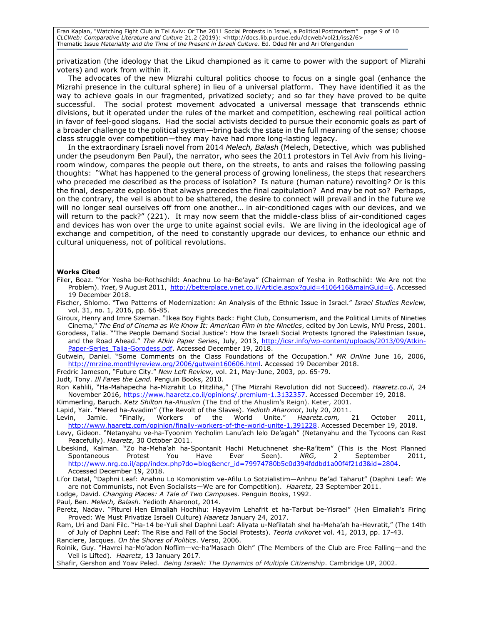Eran Kaplan, "Watching Fight Club in Tel Aviv: Or The 2011 Social Protests in Israel, a Political Postmortem" page 9 of 10 *CLCWeb: Comparative Literature and Culture* 21.2 (2019): <http://docs.lib.purdue.edu/clcweb/vol21/iss2/6> Thematic Issue *Materiality and the Time of the Present in Israeli Culture*. Ed. Oded Nir and Ari Ofengenden

privatization (the ideology that the Likud championed as it came to power with the support of Mizrahi voters) and work from within it.

The advocates of the new Mizrahi cultural politics choose to focus on a single goal (enhance the Mizrahi presence in the cultural sphere) in lieu of a universal platform. They have identified it as the way to achieve goals in our fragmented, privatized society; and so far they have proved to be quite successful. The social protest movement advocated a universal message that transcends ethnic divisions, but it operated under the rules of the market and competition, eschewing real political action in favor of feel-good slogans. Had the social activists decided to pursue their economic goals as part of a broader challenge to the political system—bring back the state in the full meaning of the sense; choose class struggle over competition—they may have had more long-lasting legacy.

In the extraordinary Israeli novel from 2014 *Melech, Balash* (Melech, Detective, which was published under the pseudonym Ben Paul), the narrator, who sees the 2011 protestors in Tel Aviv from his livingroom window, compares the people out there, on the streets, to ants and raises the following passing thoughts: "What has happened to the general process of growing loneliness, the steps that researchers who preceded me described as the process of isolation? Is nature (human nature) revolting? Or is this the final, desperate explosion that always precedes the final capitulation? And may be not so? Perhaps, on the contrary, the veil is about to be shattered, the desire to connect will prevail and in the future we will no longer seal ourselves off from one another… in air-conditioned cages with our devices, and we will return to the pack?" (221). It may now seem that the middle-class bliss of air-conditioned cages and devices has won over the urge to unite against social evils. We are living in the ideological age of exchange and competition, of the need to constantly upgrade our devices, to enhance our ethnic and cultural uniqueness, not of political revolutions.

#### **Works Cited**

- Filer, Boaz. "Yor Yesha be-Rothschild: Anachnu Lo ha-Be'aya" (Chairman of Yesha in Rothschild: We Are not the Problem). *Ynet*, 9 August 2011, [http://betterplace.ynet.co.il/Article.aspx?guid=4106416&mainGuid=6.](http://betterplace.ynet.co.il/Article.aspx?guid=4106416&mainGuid=6) Accessed 19 December 2018.
- Fischer, Shlomo. "Two Patterns of Modernization: An Analysis of the Ethnic Issue in Israel." *Israel Studies Review,* vol. 31, no. 1, 2016, pp. 66-85.
- Giroux, Henry and Imre Szeman. "Ikea Boy Fights Back: Fight Club, Consumerism, and the Political Limits of Nineties Cinema," *The End of Cinema as We Know It: American Film in the Nineties*, edited by Jon Lewis, NYU Press, 2001.
- Gorodess, Talia. "'The People Demand Social Justice': How the Israeli Social Protests Ignored the Palestinian Issue, and the Road Ahead." *The Atkin Paper Series*, July, 2013, [http://icsr.info/wp-content/uploads/2013/09/Atkin-](http://icsr.info/wp-content/uploads/2013/09/Atkin-Paper-Series_Talia-Gorodess.pdf)Paper-Series Talia-Gorodess.pdf. Accessed December 19, 2018.

Gutwein, Daniel. "Some Comments on the Class Foundations of the Occupation." *MR Online* June 16, 2006, [http://mrzine.monthlyreview.org/2006/gutwein160606.html.](http://mrzine.monthlyreview.org/2006/gutwein160606.html) Accessed 19 December 2018.

Fredric Jameson, "Future City." *New Left Review*, vol. 21, May-June, 2003, pp. 65-79.

Judt, Tony. *Ill Fares the Land.* Penguin Books, 2010.

Ron Kahlili, "Ha-Mahapecha ha-Mizrahit Lo Hitzliha," (The Mizrahi Revolution did not Succeed). *Haaretz.co.il*, 24 November 2016, [https://www.haaretz.co.il/opinions/.premium-1.3132357.](https://www.haaretz.co.il/opinions/.premium-1.3132357) Accessed December 19, 2018.

Kimmerling, Baruch. *Ketz Shilton ha-Ahuslim* (The End of the Ahuslim's Reign). Keter, 2001.

Lapid, Yair. "Mered ha-Avadim" (The Revolt of the Slaves). *Yedioth Aharonot*, July 20, 2011. Levin, Jamie. "Finally, Workers of the World Unite." *Haaretz.com,* 21 October 2011,

[http://www.haaretz.com/opinion/finally-workers-of-the-world-unite-1.391228.](http://www.haaretz.com/opinion/finally-workers-of-the-world-unite-1.391228) Accessed December 19, 2018. Levy, Gideon. "Netanyahu ve-ha-Tyoonim Yecholim Lanu'ach lelo De'agah" (Netanyahu and the Tycoons can Rest Peacefully). *Haaretz*, 30 October 2011.

Libeskind, Kalman. "Zo ha-Meha'ah ha-Spontanit Hachi Metuchnenet she-Ra'item" (This is the Most Planned Spontaneous Protest You Have Ever Seen). *NRG*, 2 September 2011, [http://www.nrg.co.il/app/index.php?do=blog&encr\\_id=79974780b5e0d394fddbd1a00f4f21d3&id=2804.](http://www.nrg.co.il/app/index.php?do=blog&encr_id=79974780b5e0d394fddbd1a00f4f21d3&id=2804) Accessed December 19, 2018.

Li'or Datal, "Daphni Leaf: Anahnu Lo Komonistim ve-Afilu Lo Sotzialistim—Anhnu Be'ad Taharut" (Daphni Leaf: We are not Communists, not Even Socialists—We are for Competition). *Haaretz*, 23 September 2011.

Lodge, David. *Changing Places: A Tale of Two Campuses.* Penguin Books, 1992.

Paul, Ben. *Melech, Balash*. Yedioth Aharonot, 2014.

Peretz, Nadav. "Piturei Hen Elmaliah Hochihu: Hayavim Lehafrit et ha-Tarbut be-Yisrael" (Hen Elmaliah's Firing Proved: We Must Privatize Israeli Culture) *Haaretz* January 24, 2017.

Ram, Uri and Dani Filc. "Ha-14 be-Yuli shel Daphni Leaf: Aliyata u-Nefilatah shel ha-Meha'ah ha-Hevratit," (The 14th of July of Daphni Leaf: The Rise and Fall of the Social Protests). *Teoria uvikoret* vol. 41, 2013, pp. 17-43. Ranciere, Jacques. *On the Shores of Politics*. Verso, 2006.

Rolnik, Guy. "Havrei ha-Mo'adon Noflim—ve-ha'Masach Oleh" (The Members of the Club are Free Falling—and the Veil is Lifted). *Haaretz*, 13 January 2017.

Shafir, Gershon and Yoav Peled. *Being Israeli: The Dynamics of Multiple Citizenship*. Cambridge UP, 2002.